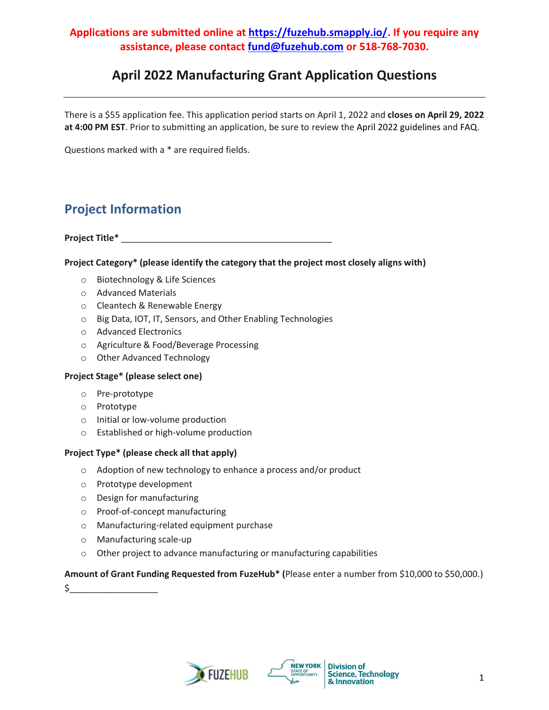# **April 2022 Manufacturing Grant Application Questions**

There is a \$55 application fee. This application period starts on April 1, 2022 and **closes on April 29, 2022 at 4:00 PM EST**. Prior to submitting an application, be sure to review the April 2022 guidelines and FAQ.

Questions marked with a \* are required fields.

# **Project Information**

**Project Title\*** \_\_\_\_\_\_\_\_\_\_\_\_\_\_\_\_\_\_\_\_\_\_\_\_\_\_\_\_\_\_\_\_\_\_\_\_\_\_\_\_\_\_\_

### **Project Category\* (please identify the category that the project most closely aligns with)**

- o Biotechnology & Life Sciences
- o Advanced Materials
- o Cleantech & Renewable Energy
- o Big Data, IOT, IT, Sensors, and Other Enabling Technologies
- o Advanced Electronics
- o Agriculture & Food/Beverage Processing
- o Other Advanced Technology

#### **Project Stage\* (please select one)**

- o Pre-prototype
- o Prototype
- o Initial or low-volume production
- o Established or high-volume production

#### **Project Type\* (please check all that apply)**

- o Adoption of new technology to enhance a process and/or product
- o Prototype development
- o Design for manufacturing
- o Proof-of-concept manufacturing
- o Manufacturing-related equipment purchase
- o Manufacturing scale-up
- o Other project to advance manufacturing or manufacturing capabilities

### **Amount of Grant Funding Requested from FuzeHub\* (**Please enter a number from \$10,000 to \$50,000.)

\$\_\_\_\_\_\_\_\_\_\_\_\_\_\_\_\_\_\_



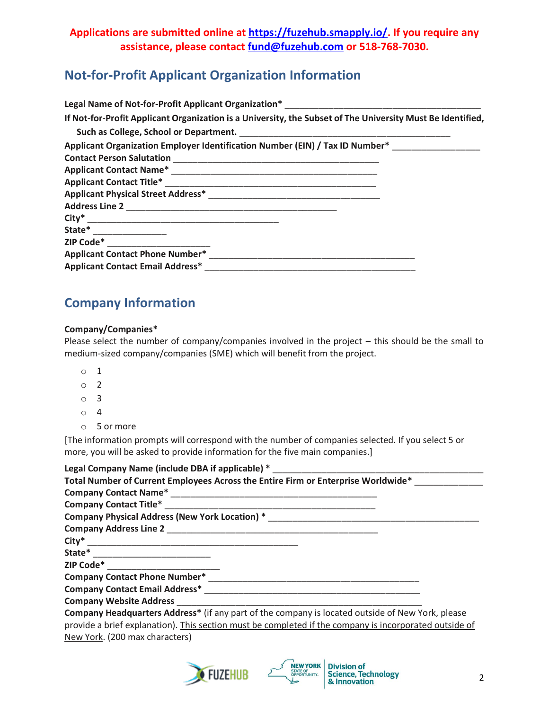# **Not-for-Profit Applicant Organization Information**

| Legal Name of Not-for-Profit Applicant Organization* Legal Name Controller Control of the Control of the Unit                                              |
|------------------------------------------------------------------------------------------------------------------------------------------------------------|
| If Not-for-Profit Applicant Organization is a University, the Subset of The University Must Be Identified,                                                 |
|                                                                                                                                                            |
| Applicant Organization Employer Identification Number (EIN) / Tax ID Number*                                                                               |
| <b>Contact Person Salutation</b><br><u> 1980 - Jan Barnett, mars andrewski filozof, mars andrewski filozof, mars andrewski filozof, mars andrewski fil</u> |
|                                                                                                                                                            |
|                                                                                                                                                            |
|                                                                                                                                                            |
|                                                                                                                                                            |
|                                                                                                                                                            |
| State* _________________                                                                                                                                   |
|                                                                                                                                                            |
| <b>Applicant Contact Phone Number*</b>                                                                                                                     |
| <b>Applicant Contact Email Address*</b>                                                                                                                    |

# **Company Information**

#### **Company/Companies\***

Please select the number of company/companies involved in the project – this should be the small to medium-sized company/companies (SME) which will benefit from the project.

- o 1
- o 2
- o 3
- o 4
- o 5 or more

[The information prompts will correspond with the number of companies selected. If you select 5 or more, you will be asked to provide information for the five main companies.]

| Legal Company Name (include DBA if applicable) *                                                               |
|----------------------------------------------------------------------------------------------------------------|
| Total Number of Current Employees Across the Entire Firm or Enterprise Worldwide*                              |
|                                                                                                                |
| <b>Company Contact Title*</b>                                                                                  |
| Company Physical Address (New York Location) *                                                                 |
|                                                                                                                |
|                                                                                                                |
|                                                                                                                |
|                                                                                                                |
| <b>Company Contact Phone Number*</b>                                                                           |
| Company Contact Email Address* North Company Contact Email Address* North Company Contact Email Address And Co |
| <b>Company Website Address</b>                                                                                 |
| Company Headquarters Address* (if any part of the company is located outside of New York, please               |
| provide a brief explanation). This section must be completed if the company is incorporated outside of         |

New York. (200 max characters)



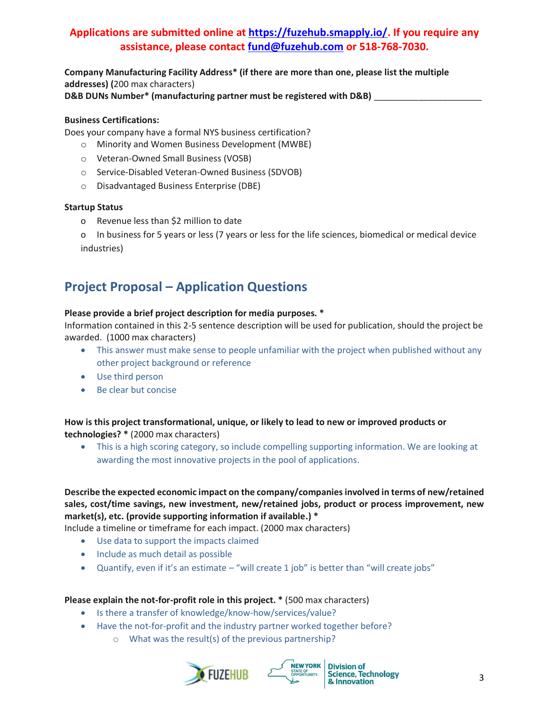**Company Manufacturing Facility Address\* (if there are more than one, please list the multiple addresses) (**200 max characters)

D&B DUNs Number\* (manufacturing partner must be registered with D&B) \_

#### **Business Certifications:**

Does your company have a formal NYS business certification?

- o Minority and Women Business Development (MWBE)
- o Veteran-Owned Small Business (VOSB)
- o Service-Disabled Veteran-Owned Business (SDVOB)
- o Disadvantaged Business Enterprise (DBE)

#### **Startup Status**

- o Revenue less than \$2 million to date
- o In business for 5 years or less (7 years or less for the life sciences, biomedical or medical device industries)

# **Project Proposal – Application Questions**

#### **Please provide a brief project description for media purposes. \***

Information contained in this 2-5 sentence description will be used for publication, should the project be awarded. (1000 max characters)

- This answer must make sense to people unfamiliar with the project when published without any other project background or reference
- Use third person
- Be clear but concise

### **How is this project transformational, unique, or likely to lead to new or improved products or technologies? \*** (2000 max characters)

• This is a high scoring category, so include compelling supporting information. We are looking at awarding the most innovative projects in the pool of applications.

### **Describe the expected economic impact on the company/companies involved in terms of new/retained sales, cost/time savings, new investment, new/retained jobs, product or process improvement, new market(s), etc. (provide supporting information if available.) \***

Include a timeline or timeframe for each impact. (2000 max characters)

- Use data to support the impacts claimed
- Include as much detail as possible
- Quantify, even if it's an estimate "will create 1 job" is better than "will create jobs"

### **Please explain the not-for-profit role in this project. \*** (500 max characters)

- Is there a transfer of knowledge/know-how/services/value?
- Have the not-for-profit and the industry partner worked together before?
	- o What was the result(s) of the previous partnership?





**Division of** Science, Technology<br>
& Innovation 3